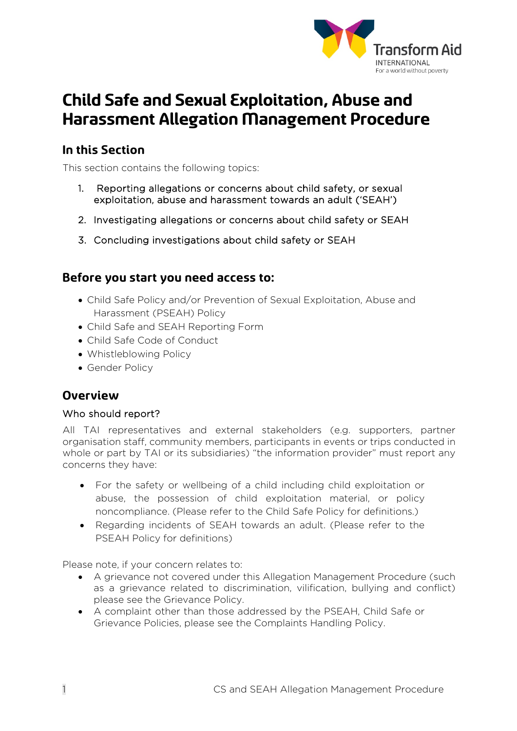

# **Child Safe and Sexual Exploitation, Abuse and Harassment Allegation Management Procedure**

## **In this Section**

This section contains the following topics:

- 1. Reporting allegations or concerns about child safety, or sexual exploitation, abuse and harassment towards an adult ('SEAH')
- 2. Investigating allegations or concerns about child safety or SEAH
- 3. Concluding investigations about child safety or SEAH

## **Before you start you need access to:**

- Child Safe Policy and/or Prevention of Sexual Exploitation, Abuse and Harassment (PSEAH) Policy
- Child Safe and SEAH Reporting Form
- Child Safe Code of Conduct
- Whistleblowing Policy
- Gender Policy

## **Overview**

#### Who should report?

All TAI representatives and external stakeholders (e.g. supporters, partner organisation staff, community members, participants in events or trips conducted in whole or part by TAI or its subsidiaries) "the information provider" must report any concerns they have:

- For the safety or wellbeing of a child including child exploitation or abuse, the possession of child exploitation material, or policy noncompliance. (Please refer to the Child Safe Policy for definitions.)
- Regarding incidents of SEAH towards an adult. (Please refer to the PSEAH Policy for definitions)

Please note, if your concern relates to:

- A grievance not covered under this Allegation Management Procedure (such as a grievance related to discrimination, vilification, bullying and conflict) please see the Grievance Policy.
- A complaint other than those addressed by the PSEAH, Child Safe or Grievance Policies, please see the Complaints Handling Policy.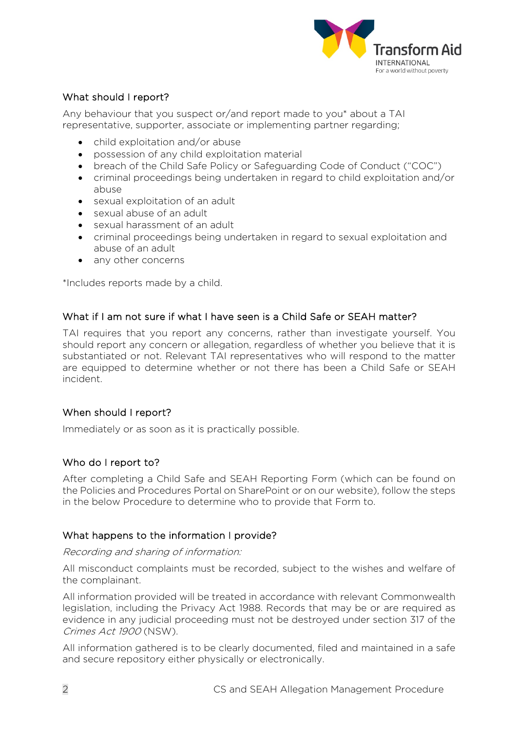

#### What should I report?

Any behaviour that you suspect or/and report made to you\* about a TAI representative, supporter, associate or implementing partner regarding;

- child exploitation and/or abuse
- possession of any child exploitation material
- breach of the Child Safe Policy or Safeguarding Code of Conduct ("COC")
- criminal proceedings being undertaken in regard to child exploitation and/or abuse
- sexual exploitation of an adult
- sexual abuse of an adult
- sexual harassment of an adult
- criminal proceedings being undertaken in regard to sexual exploitation and abuse of an adult
- any other concerns

\*Includes reports made by a child.

#### What if I am not sure if what I have seen is a Child Safe or SEAH matter?

TAI requires that you report any concerns, rather than investigate yourself. You should report any concern or allegation, regardless of whether you believe that it is substantiated or not. Relevant TAI representatives who will respond to the matter are equipped to determine whether or not there has been a Child Safe or SEAH incident.

#### When should I report?

Immediately or as soon as it is practically possible.

#### Who do I report to?

After completing a Child Safe and SEAH Reporting Form (which can be found on the Policies and Procedures Portal on SharePoint or on our website), follow the steps in the below Procedure to determine who to provide that Form to.

#### What happens to the information I provide?

#### Recording and sharing of information:

All misconduct complaints must be recorded, subject to the wishes and welfare of the complainant.

All information provided will be treated in accordance with relevant Commonwealth legislation, including the Privacy Act 1988. Records that may be or are required as evidence in any judicial proceeding must not be destroyed under section 317 of the Crimes Act 1900 (NSW).

All information gathered is to be clearly documented, filed and maintained in a safe and secure repository either physically or electronically.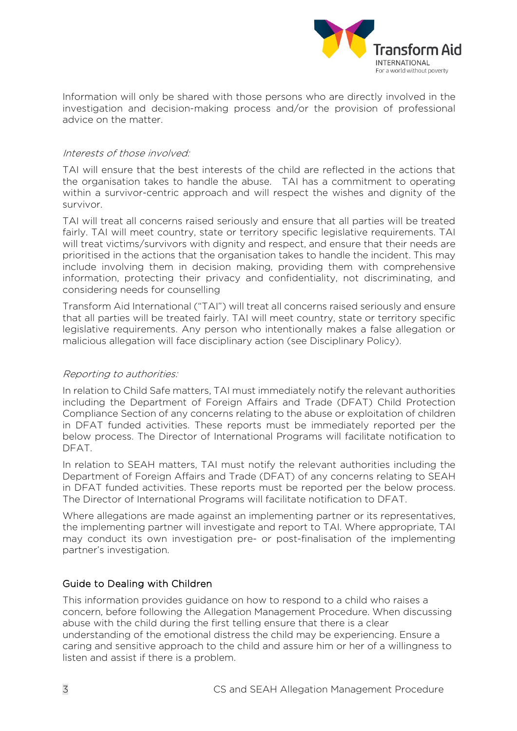

Information will only be shared with those persons who are directly involved in the investigation and decision-making process and/or the provision of professional advice on the matter.

#### Interests of those involved:

TAI will ensure that the best interests of the child are reflected in the actions that the organisation takes to handle the abuse. TAI has a commitment to operating within a survivor-centric approach and will respect the wishes and dignity of the survivor.

TAI will treat all concerns raised seriously and ensure that all parties will be treated fairly. TAI will meet country, state or territory specific legislative requirements. TAI will treat victims/survivors with dignity and respect, and ensure that their needs are prioritised in the actions that the organisation takes to handle the incident. This may include involving them in decision making, providing them with comprehensive information, protecting their privacy and confidentiality, not discriminating, and considering needs for counselling

Transform Aid International ("TAI") will treat all concerns raised seriously and ensure that all parties will be treated fairly. TAI will meet country, state or territory specific legislative requirements. Any person who intentionally makes a false allegation or malicious allegation will face disciplinary action (see Disciplinary Policy).

#### Reporting to authorities:

In relation to Child Safe matters, TAI must immediately notify the relevant authorities including the Department of Foreign Affairs and Trade (DFAT) Child Protection Compliance Section of any concerns relating to the abuse or exploitation of children in DFAT funded activities. These reports must be immediately reported per the below process. The Director of International Programs will facilitate notification to DFAT.

In relation to SEAH matters, TAI must notify the relevant authorities including the Department of Foreign Affairs and Trade (DFAT) of any concerns relating to SEAH in DFAT funded activities. These reports must be reported per the below process. The Director of International Programs will facilitate notification to DFAT.

Where allegations are made against an implementing partner or its representatives, the implementing partner will investigate and report to TAI. Where appropriate, TAI may conduct its own investigation pre- or post-finalisation of the implementing partner's investigation.

#### Guide to Dealing with Children

This information provides guidance on how to respond to a child who raises a concern, before following the Allegation Management Procedure. When discussing abuse with the child during the first telling ensure that there is a clear understanding of the emotional distress the child may be experiencing. Ensure a caring and sensitive approach to the child and assure him or her of a willingness to listen and assist if there is a problem.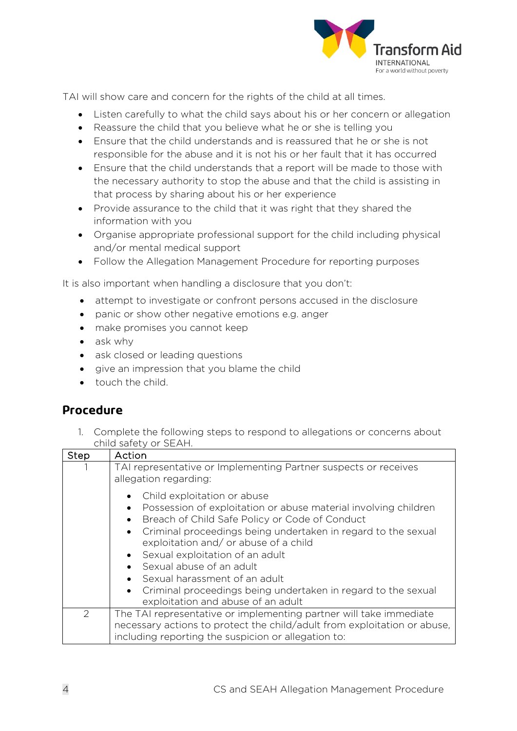

TAI will show care and concern for the rights of the child at all times.

- Listen carefully to what the child says about his or her concern or allegation
- Reassure the child that you believe what he or she is telling you
- Ensure that the child understands and is reassured that he or she is not responsible for the abuse and it is not his or her fault that it has occurred
- Ensure that the child understands that a report will be made to those with the necessary authority to stop the abuse and that the child is assisting in that process by sharing about his or her experience
- Provide assurance to the child that it was right that they shared the information with you
- Organise appropriate professional support for the child including physical and/or mental medical support
- Follow the Allegation Management Procedure for reporting purposes

It is also important when handling a disclosure that you don't:

- attempt to investigate or confront persons accused in the disclosure
- panic or show other negative emotions e.g. anger
- make promises you cannot keep
- ask why
- ask closed or leading questions
- give an impression that you blame the child
- touch the child.

## **Procedure**

1. Complete the following steps to respond to allegations or concerns about child safety or SEAH.

| Step | Action                                                                                                                                                                                                                                                                                                                                                                                                                                                                                                     |
|------|------------------------------------------------------------------------------------------------------------------------------------------------------------------------------------------------------------------------------------------------------------------------------------------------------------------------------------------------------------------------------------------------------------------------------------------------------------------------------------------------------------|
|      | TAI representative or Implementing Partner suspects or receives<br>allegation regarding:                                                                                                                                                                                                                                                                                                                                                                                                                   |
|      | Child exploitation or abuse<br>Possession of exploitation or abuse material involving children<br>Breach of Child Safe Policy or Code of Conduct<br>$\bullet$<br>Criminal proceedings being undertaken in regard to the sexual<br>$\bullet$<br>exploitation and/ or abuse of a child<br>• Sexual exploitation of an adult<br>Sexual abuse of an adult<br>Sexual harassment of an adult<br>Criminal proceedings being undertaken in regard to the sexual<br>$\bullet$<br>exploitation and abuse of an adult |
| 2    | The TAI representative or implementing partner will take immediate<br>necessary actions to protect the child/adult from exploitation or abuse,<br>including reporting the suspicion or allegation to:                                                                                                                                                                                                                                                                                                      |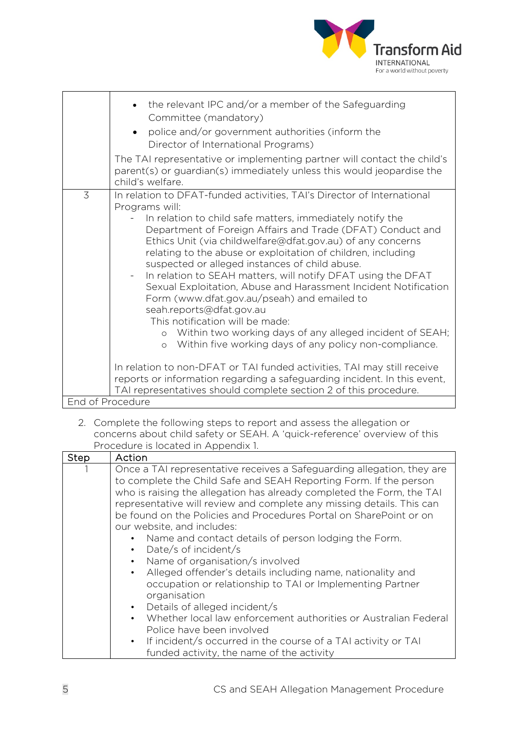

| the relevant IPC and/or a member of the Safeguarding<br>Committee (mandatory)<br>police and/or government authorities (inform the<br>Director of International Programs)<br>The TAI representative or implementing partner will contact the child's<br>parent(s) or guardian(s) immediately unless this would jeopardise the                                                                                                                                                                                                                                                                                                                                                                                              |  |
|---------------------------------------------------------------------------------------------------------------------------------------------------------------------------------------------------------------------------------------------------------------------------------------------------------------------------------------------------------------------------------------------------------------------------------------------------------------------------------------------------------------------------------------------------------------------------------------------------------------------------------------------------------------------------------------------------------------------------|--|
| child's welfare.<br>3<br>In relation to DFAT-funded activities, TAI's Director of International                                                                                                                                                                                                                                                                                                                                                                                                                                                                                                                                                                                                                           |  |
| Programs will:<br>In relation to child safe matters, immediately notify the<br>Department of Foreign Affairs and Trade (DFAT) Conduct and<br>Ethics Unit (via childwelfare@dfat.gov.au) of any concerns<br>relating to the abuse or exploitation of children, including<br>suspected or alleged instances of child abuse.<br>In relation to SEAH matters, will notify DFAT using the DFAT<br>$\equiv$<br>Sexual Exploitation, Abuse and Harassment Incident Notification<br>Form (www.dfat.gov.au/pseah) and emailed to<br>seah.reports@dfat.gov.au<br>This notification will be made:<br>o Within two working days of any alleged incident of SEAH;<br>Within five working days of any policy non-compliance.<br>$\circ$ |  |
| In relation to non-DFAT or TAI funded activities, TAI may still receive<br>reports or information regarding a safeguarding incident. In this event,<br>TAI representatives should complete section 2 of this procedure.                                                                                                                                                                                                                                                                                                                                                                                                                                                                                                   |  |
| End of Procedure                                                                                                                                                                                                                                                                                                                                                                                                                                                                                                                                                                                                                                                                                                          |  |

2. Complete the following steps to report and assess the allegation or concerns about child safety or SEAH. A 'quick-reference' overview of this Procedure is located in Appendix 1.

| Step | Action                                                                                                                                                                                                                                                                                                                                                                                                                                                                                                      |
|------|-------------------------------------------------------------------------------------------------------------------------------------------------------------------------------------------------------------------------------------------------------------------------------------------------------------------------------------------------------------------------------------------------------------------------------------------------------------------------------------------------------------|
|      | Once a TAI representative receives a Safeguarding allegation, they are<br>to complete the Child Safe and SEAH Reporting Form. If the person<br>who is raising the allegation has already completed the Form, the TAI<br>representative will review and complete any missing details. This can<br>be found on the Policies and Procedures Portal on SharePoint or on<br>our website, and includes:<br>Name and contact details of person lodging the Form.<br>$\bullet$<br>Date/s of incident/s<br>$\bullet$ |
|      | Name of organisation/s involved<br>$\bullet$<br>Alleged offender's details including name, nationality and<br>$\bullet$<br>occupation or relationship to TAI or Implementing Partner<br>organisation<br>Details of alleged incident/s<br>$\bullet$<br>Whether local law enforcement authorities or Australian Federal<br>$\bullet$<br>Police have been involved<br>If incident/s occurred in the course of a TAI activity or TAI<br>$\bullet$ .<br>funded activity, the name of the activity                |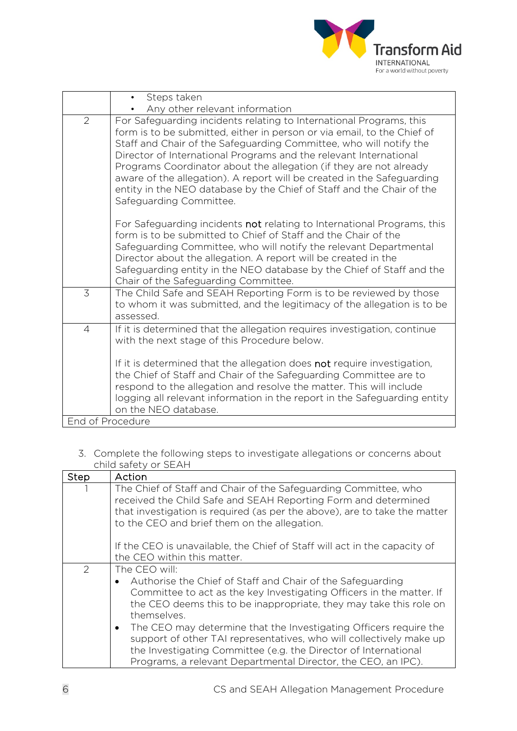

| • Steps taken<br>Any other relevant information                                                                                                                                                                                                                                                                                                                                                                                                                                                                                                                 |
|-----------------------------------------------------------------------------------------------------------------------------------------------------------------------------------------------------------------------------------------------------------------------------------------------------------------------------------------------------------------------------------------------------------------------------------------------------------------------------------------------------------------------------------------------------------------|
| $\overline{2}$<br>For Safeguarding incidents relating to International Programs, this<br>form is to be submitted, either in person or via email, to the Chief of<br>Staff and Chair of the Safeguarding Committee, who will notify the<br>Director of International Programs and the relevant International<br>Programs Coordinator about the allegation (if they are not already<br>aware of the allegation). A report will be created in the Safeguarding<br>entity in the NEO database by the Chief of Staff and the Chair of the<br>Safeguarding Committee. |
| For Safeguarding incidents not relating to International Programs, this<br>form is to be submitted to Chief of Staff and the Chair of the<br>Safeguarding Committee, who will notify the relevant Departmental<br>Director about the allegation. A report will be created in the<br>Safeguarding entity in the NEO database by the Chief of Staff and the<br>Chair of the Safeguarding Committee.                                                                                                                                                               |
| 3<br>The Child Safe and SEAH Reporting Form is to be reviewed by those<br>to whom it was submitted, and the legitimacy of the allegation is to be<br>assessed.                                                                                                                                                                                                                                                                                                                                                                                                  |
| If it is determined that the allegation requires investigation, continue<br>$\overline{4}$<br>with the next stage of this Procedure below.<br>If it is determined that the allegation does not require investigation,<br>the Chief of Staff and Chair of the Safeguarding Committee are to<br>respond to the allegation and resolve the matter. This will include<br>logging all relevant information in the report in the Safeguarding entity                                                                                                                  |
| on the NEO database.<br>End of Procedure                                                                                                                                                                                                                                                                                                                                                                                                                                                                                                                        |

#### 3. Complete the following steps to investigate allegations or concerns about child safety or SEAH

| Step | Action                                                                                                                                                                                                                                                                                                                                                                                                                                                                                                               |
|------|----------------------------------------------------------------------------------------------------------------------------------------------------------------------------------------------------------------------------------------------------------------------------------------------------------------------------------------------------------------------------------------------------------------------------------------------------------------------------------------------------------------------|
|      | The Chief of Staff and Chair of the Safeguarding Committee, who<br>received the Child Safe and SEAH Reporting Form and determined<br>that investigation is required (as per the above), are to take the matter<br>to the CEO and brief them on the allegation.                                                                                                                                                                                                                                                       |
|      | If the CEO is unavailable, the Chief of Staff will act in the capacity of<br>the CEO within this matter.                                                                                                                                                                                                                                                                                                                                                                                                             |
| 2    | The CEO will:                                                                                                                                                                                                                                                                                                                                                                                                                                                                                                        |
|      | Authorise the Chief of Staff and Chair of the Safeguarding<br>Committee to act as the key Investigating Officers in the matter. If<br>the CEO deems this to be inappropriate, they may take this role on<br>themselves.<br>The CEO may determine that the Investigating Officers require the<br>$\bullet$<br>support of other TAI representatives, who will collectively make up<br>the Investigating Committee (e.g. the Director of International<br>Programs, a relevant Departmental Director, the CEO, an IPC). |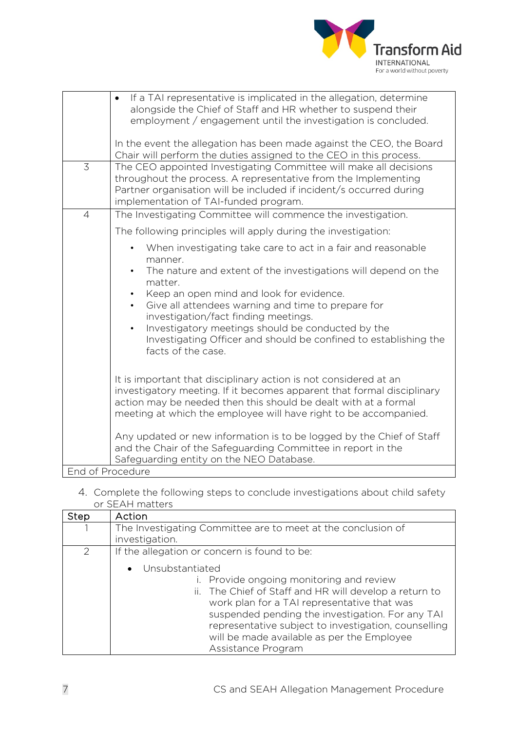

|                  | If a TAI representative is implicated in the allegation, determine<br>$\bullet$<br>alongside the Chief of Staff and HR whether to suspend their<br>employment / engagement until the investigation is concluded.                                                                                                                                                                                                                                                                                               |
|------------------|----------------------------------------------------------------------------------------------------------------------------------------------------------------------------------------------------------------------------------------------------------------------------------------------------------------------------------------------------------------------------------------------------------------------------------------------------------------------------------------------------------------|
|                  | In the event the allegation has been made against the CEO, the Board<br>Chair will perform the duties assigned to the CEO in this process.                                                                                                                                                                                                                                                                                                                                                                     |
| $\overline{3}$   | The CEO appointed Investigating Committee will make all decisions<br>throughout the process. A representative from the Implementing<br>Partner organisation will be included if incident/s occurred during<br>implementation of TAI-funded program.                                                                                                                                                                                                                                                            |
| $\overline{4}$   | The Investigating Committee will commence the investigation.                                                                                                                                                                                                                                                                                                                                                                                                                                                   |
|                  | The following principles will apply during the investigation:                                                                                                                                                                                                                                                                                                                                                                                                                                                  |
|                  | When investigating take care to act in a fair and reasonable<br>$\bullet$<br>manner.<br>The nature and extent of the investigations will depend on the<br>$\bullet$<br>matter.<br>Keep an open mind and look for evidence.<br>$\bullet$<br>Give all attendees warning and time to prepare for<br>$\bullet$<br>investigation/fact finding meetings.<br>Investigatory meetings should be conducted by the<br>$\bullet$<br>Investigating Officer and should be confined to establishing the<br>facts of the case. |
|                  | It is important that disciplinary action is not considered at an<br>investigatory meeting. If it becomes apparent that formal disciplinary<br>action may be needed then this should be dealt with at a formal<br>meeting at which the employee will have right to be accompanied.                                                                                                                                                                                                                              |
|                  | Any updated or new information is to be logged by the Chief of Staff<br>and the Chair of the Safeguarding Committee in report in the<br>Safeguarding entity on the NEO Database.                                                                                                                                                                                                                                                                                                                               |
| End of Procedure |                                                                                                                                                                                                                                                                                                                                                                                                                                                                                                                |
|                  |                                                                                                                                                                                                                                                                                                                                                                                                                                                                                                                |

#### 4. Complete the following steps to conclude investigations about child safety or SEAH matters

| <b>Step</b>   | Action                                                                                                                                                                                                                                                                                                                                                                                              |
|---------------|-----------------------------------------------------------------------------------------------------------------------------------------------------------------------------------------------------------------------------------------------------------------------------------------------------------------------------------------------------------------------------------------------------|
|               | The Investigating Committee are to meet at the conclusion of<br>investigation.                                                                                                                                                                                                                                                                                                                      |
| $\mathcal{P}$ | If the allegation or concern is found to be:<br>• Unsubstantiated<br>Provide ongoing monitoring and review<br>ii. The Chief of Staff and HR will develop a return to<br>work plan for a TAI representative that was<br>suspended pending the investigation. For any TAI<br>representative subject to investigation, counselling<br>will be made available as per the Employee<br>Assistance Program |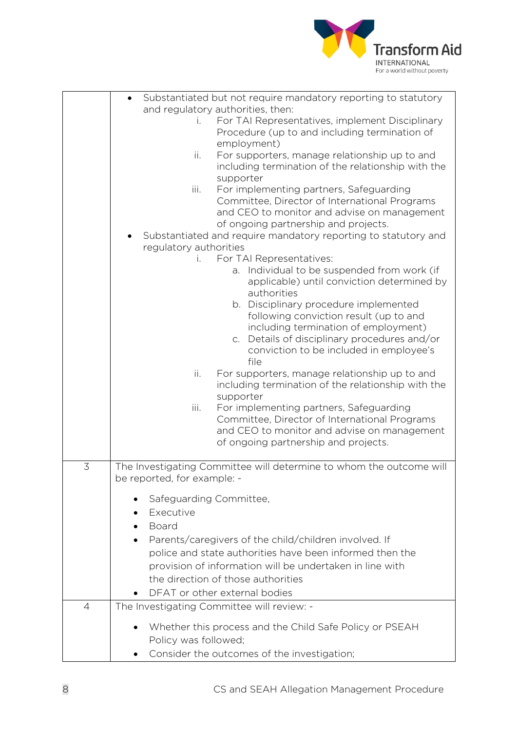

|   | Substantiated but not require mandatory reporting to statutory                               |
|---|----------------------------------------------------------------------------------------------|
|   | and regulatory authorities, then:<br>For TAI Representatives, implement Disciplinary<br>i.   |
|   | Procedure (up to and including termination of                                                |
|   | employment)                                                                                  |
|   | For supporters, manage relationship up to and<br>ii.                                         |
|   | including termination of the relationship with the                                           |
|   | supporter                                                                                    |
|   | For implementing partners, Safeguarding<br>iii.                                              |
|   | Committee, Director of International Programs                                                |
|   | and CEO to monitor and advise on management                                                  |
|   | of ongoing partnership and projects.                                                         |
|   | Substantiated and require mandatory reporting to statutory and                               |
|   | regulatory authorities                                                                       |
|   | For TAI Representatives:                                                                     |
|   | Individual to be suspended from work (if<br>a.                                               |
|   | applicable) until conviction determined by<br>authorities                                    |
|   | b. Disciplinary procedure implemented                                                        |
|   | following conviction result (up to and                                                       |
|   | including termination of employment)                                                         |
|   | Details of disciplinary procedures and/or<br>$C_{1}$                                         |
|   | conviction to be included in employee's                                                      |
|   | file                                                                                         |
|   | ii.<br>For supporters, manage relationship up to and                                         |
|   | including termination of the relationship with the                                           |
|   | supporter                                                                                    |
|   | iii.<br>For implementing partners, Safeguarding                                              |
|   | Committee, Director of International Programs<br>and CEO to monitor and advise on management |
|   | of ongoing partnership and projects.                                                         |
|   |                                                                                              |
| 3 | The Investigating Committee will determine to whom the outcome will                          |
|   | be reported, for example: -                                                                  |
|   |                                                                                              |
|   | Safeguarding Committee,                                                                      |
|   | Executive                                                                                    |
|   | Board                                                                                        |
|   | Parents/caregivers of the child/children involved. If                                        |
|   | police and state authorities have been informed then the                                     |
|   | provision of information will be undertaken in line with                                     |
|   | the direction of those authorities                                                           |
|   | DFAT or other external bodies                                                                |
| 4 | The Investigating Committee will review: -                                                   |
|   |                                                                                              |
|   | Whether this process and the Child Safe Policy or PSEAH                                      |
|   | Policy was followed;                                                                         |
|   | Consider the outcomes of the investigation;                                                  |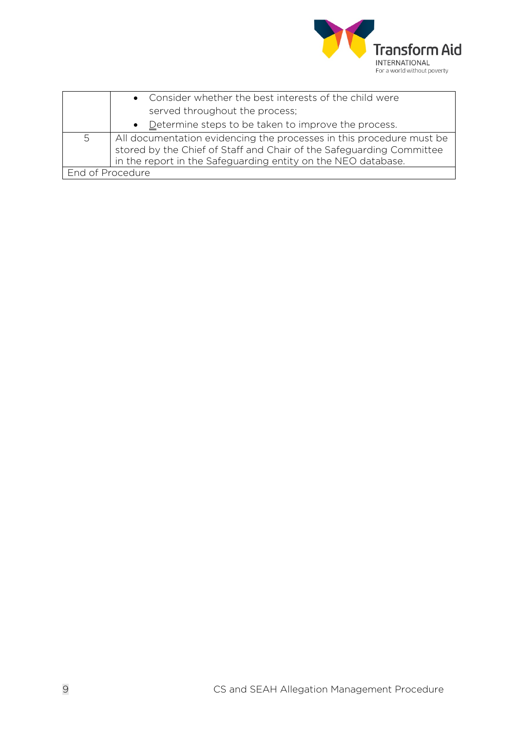

|                  | • Consider whether the best interests of the child were                                                                                                                                                       |
|------------------|---------------------------------------------------------------------------------------------------------------------------------------------------------------------------------------------------------------|
|                  | served throughout the process;                                                                                                                                                                                |
|                  | • Determine steps to be taken to improve the process.                                                                                                                                                         |
| 5                | All documentation evidencing the processes in this procedure must be<br>stored by the Chief of Staff and Chair of the Safeguarding Committee<br>in the report in the Safeguarding entity on the NEO database. |
| End of Procedure |                                                                                                                                                                                                               |